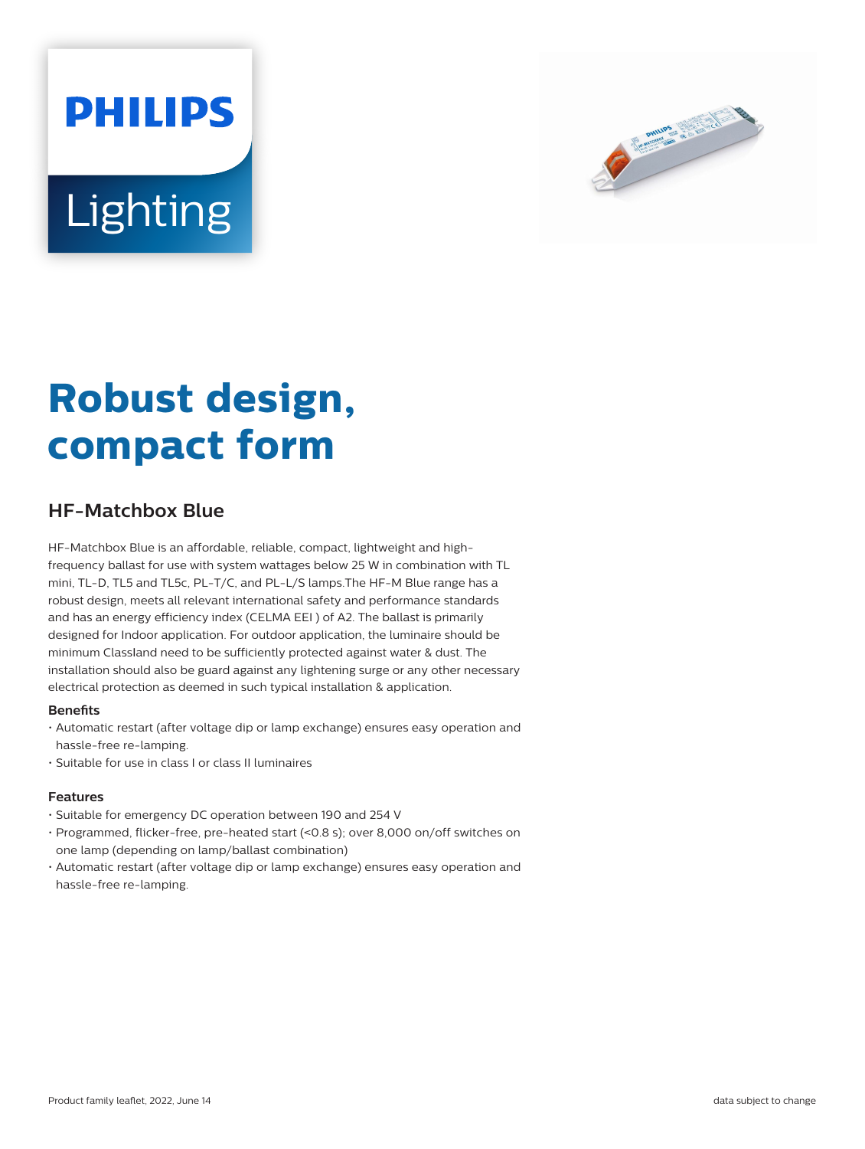# **PHILIPS Lighting**



## **Robust design, compact form**

### **HF-Matchbox Blue**

HF-Matchbox Blue is an affordable, reliable, compact, lightweight and highfrequency ballast for use with system wattages below 25 W in combination with TL mini, TL-D, TL5 and TL5c, PL-T/C, and PL-L/S lamps.The HF-M Blue range has a robust design, meets all relevant international safety and performance standards and has an energy efficiency index (CELMA EEI ) of A2. The ballast is primarily designed for Indoor application. For outdoor application, the luminaire should be minimum Classland need to be sufficiently protected against water & dust. The installation should also be guard against any lightening surge or any other necessary electrical protection as deemed in such typical installation & application.

#### **Benets**

- Automatic restart (after voltage dip or lamp exchange) ensures easy operation and hassle-free re-lamping.
- Suitable for use in class I or class II luminaires

#### **Features**

- Suitable for emergency DC operation between 190 and 254 V
- Programmed, flicker-free, pre-heated start (<0.8 s); over 8,000 on/off switches on one lamp (depending on lamp/ballast combination)
- Automatic restart (after voltage dip or lamp exchange) ensures easy operation and hassle-free re-lamping.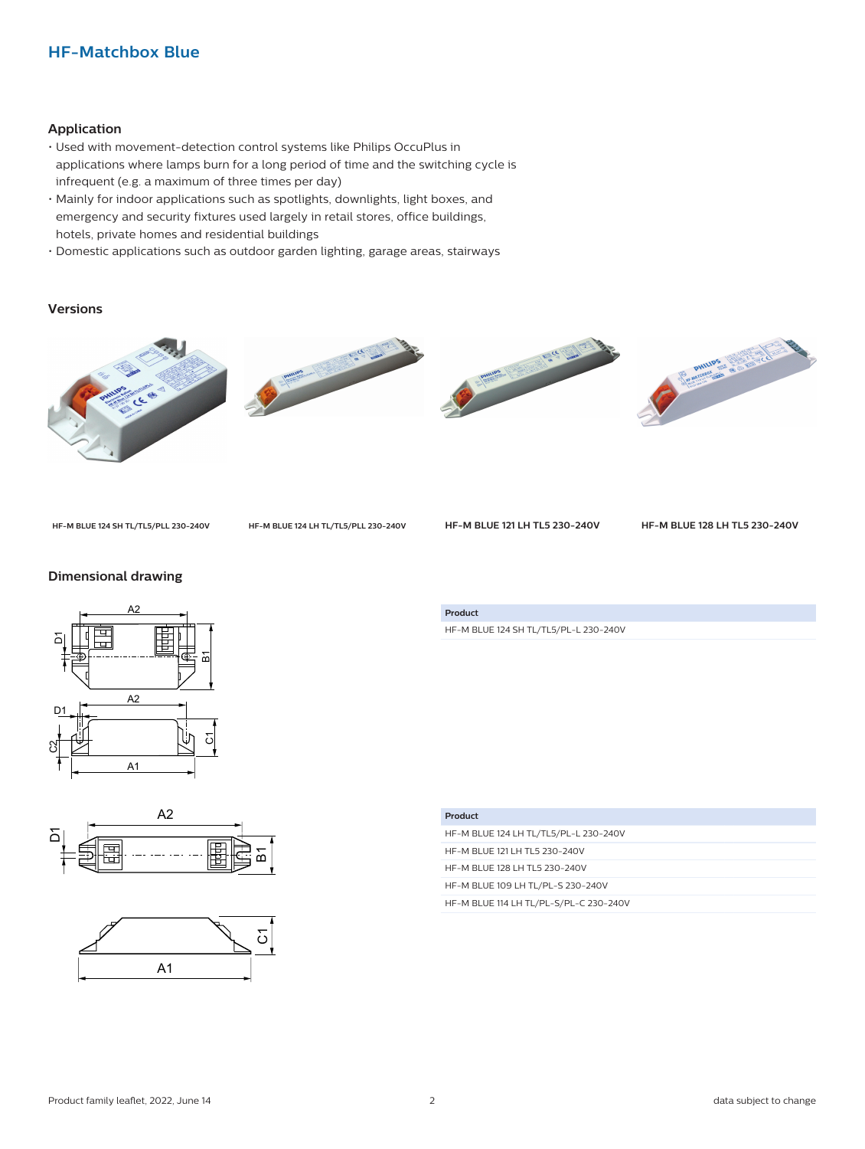#### **HF-Matchbox Blue**

#### **Application**

- Used with movement-detection control systems like Philips OccuPlus in applications where lamps burn for a long period of time and the switching cycle is infrequent (e.g. a maximum of three times per day)
- Mainly for indoor applications such as spotlights, downlights, light boxes, and emergency and security fixtures used largely in retail stores, office buildings, hotels, private homes and residential buildings
- Domestic applications such as outdoor garden lighting, garage areas, stairways

#### **Versions**









**HF-M BLUE 124 SH TL/TL5/PLL 230-240V HF-M BLUE 124 LH TL/TL5/PLL 230-240V HF-M BLUE 121 LH TL5 230-240V HF-M BLUE 128 LH TL5 230-240V**

#### **Dimensional drawing**







HF-M BLUE 124 SH TL/TL5/PL-L 230-240V

**Product**

| Product                                |
|----------------------------------------|
| HF-M BLUE 124 LH TL/TL5/PL-L 230-240V  |
| HF-M BLUE 121 LH TL5 230-240V          |
| HF-M BLUE 128 LH TL5 230-240V          |
| HF-M BLUE 109 LH TL/PL-S 230-240V      |
| HF-M BLUE 114 LH TL/PL-S/PL-C 230-240V |